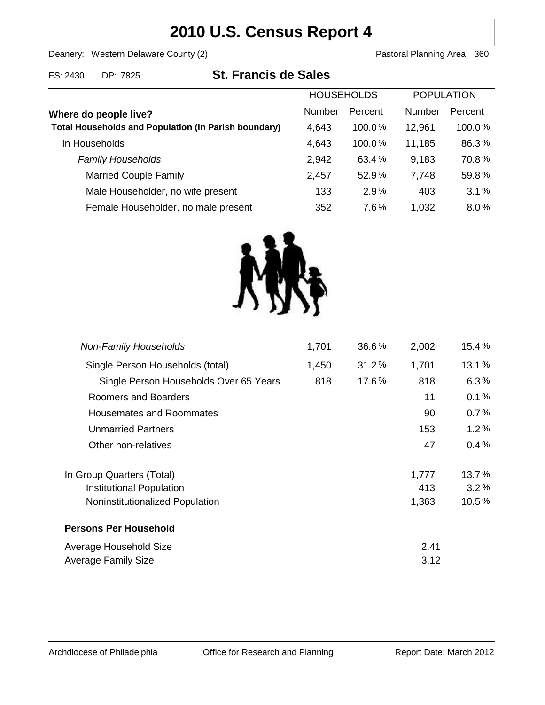# **2010 U.S. Census Report 4**

Deanery: Western Delaware County (2) Deanery: Western Delaware County (2)

| FS: 2430 | DP: 7825 | <b>St. Francis de Sales</b> |
|----------|----------|-----------------------------|
|          |          |                             |

|                                                             | <b>HOUSEHOLDS</b> |           | <b>POPULATION</b> |         |
|-------------------------------------------------------------|-------------------|-----------|-------------------|---------|
| Where do people live?                                       | Number            | Percent   | Number            | Percent |
| <b>Total Households and Population (in Parish boundary)</b> | 4,643             | $100.0\%$ | 12,961            | 100.0%  |
| In Households                                               | 4,643             | 100.0%    | 11,185            | 86.3%   |
| <b>Family Households</b>                                    | 2,942             | 63.4%     | 9.183             | 70.8%   |
| <b>Married Couple Family</b>                                | 2,457             | 52.9%     | 7,748             | 59.8%   |
| Male Householder, no wife present                           | 133               | 2.9%      | 403               | 3.1%    |
| Female Householder, no male present                         | 352               | 7.6%      | 1,032             | 8.0%    |



| <b>Non-Family Households</b>           | 1,701 | 36.6% | 2,002 | $15.4\,\%$ |
|----------------------------------------|-------|-------|-------|------------|
| Single Person Households (total)       | 1,450 | 31.2% | 1,701 | 13.1%      |
| Single Person Households Over 65 Years | 818   | 17.6% | 818   | 6.3%       |
| Roomers and Boarders                   |       |       | 11    | 0.1%       |
| <b>Housemates and Roommates</b>        |       |       | 90    | 0.7%       |
| <b>Unmarried Partners</b>              |       |       | 153   | 1.2%       |
| Other non-relatives                    |       |       | 47    | 0.4%       |
| In Group Quarters (Total)              |       |       | 1,777 | 13.7%      |
| Institutional Population               |       |       | 413   | $3.2\%$    |
| Noninstitutionalized Population        |       |       | 1,363 | 10.5%      |
| <b>Persons Per Household</b>           |       |       |       |            |
| Average Household Size                 |       |       | 2.41  |            |
| <b>Average Family Size</b>             |       |       | 3.12  |            |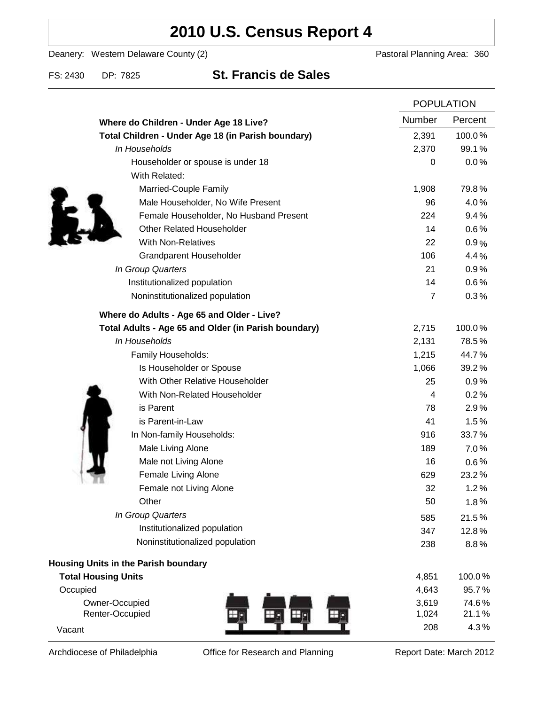# **2010 U.S. Census Report 4**

Deanery: Western Delaware County (2) Deanery: Western Delaware County (2)

### FS: 2430 DP: 7825 **St. Francis de Sales**

|                                                      |                | <b>POPULATION</b> |  |
|------------------------------------------------------|----------------|-------------------|--|
| Where do Children - Under Age 18 Live?               | Number         | Percent           |  |
| Total Children - Under Age 18 (in Parish boundary)   | 2,391          | 100.0%            |  |
| In Households                                        | 2,370          | 99.1%             |  |
| Householder or spouse is under 18                    | 0              | 0.0%              |  |
| With Related:                                        |                |                   |  |
| Married-Couple Family                                | 1,908          | 79.8%             |  |
| Male Householder, No Wife Present                    | 96             | 4.0%              |  |
| Female Householder, No Husband Present               | 224            | 9.4%              |  |
| <b>Other Related Householder</b>                     | 14             | 0.6%              |  |
| <b>With Non-Relatives</b>                            | 22             | 0.9%              |  |
| <b>Grandparent Householder</b>                       | 106            | 4.4%              |  |
| In Group Quarters                                    | 21             | 0.9%              |  |
| Institutionalized population                         | 14             | 0.6%              |  |
| Noninstitutionalized population                      | $\overline{7}$ | 0.3%              |  |
| Where do Adults - Age 65 and Older - Live?           |                |                   |  |
| Total Adults - Age 65 and Older (in Parish boundary) | 2,715          | 100.0%            |  |
| In Households                                        | 2,131          | 78.5%             |  |
| Family Households:                                   | 1,215          | 44.7%             |  |
| Is Householder or Spouse                             | 1,066          | 39.2%             |  |
| With Other Relative Householder                      | 25             | 0.9%              |  |
| With Non-Related Householder                         | 4              | 0.2%              |  |
| is Parent                                            | 78             | 2.9%              |  |
| is Parent-in-Law                                     | 41             | 1.5%              |  |
| In Non-family Households:                            | 916            | 33.7%             |  |
| Male Living Alone                                    | 189            | $7.0\%$           |  |
| Male not Living Alone                                | 16             | $0.6\%$           |  |
| Female Living Alone                                  | 629            | 23.2%             |  |
| Female not Living Alone                              | 32             | 1.2%              |  |
| Other                                                | 50             | 1.8%              |  |
| In Group Quarters                                    | 585            | 21.5%             |  |
| Institutionalized population                         | 347            | 12.8%             |  |
| Noninstitutionalized population                      | 238            | 8.8%              |  |
| <b>Housing Units in the Parish boundary</b>          |                |                   |  |
| <b>Total Housing Units</b>                           | 4,851          | 100.0%            |  |
| Occupied                                             | 4,643          | 95.7%             |  |
| Owner-Occupied                                       | 3,619          | 74.6%             |  |
| Renter-Occupied                                      | 1,024          | 21.1%             |  |
| Vacant                                               | 208            | 4.3%              |  |

Archdiocese of Philadelphia **Office for Research and Planning** Report Date: March 2012